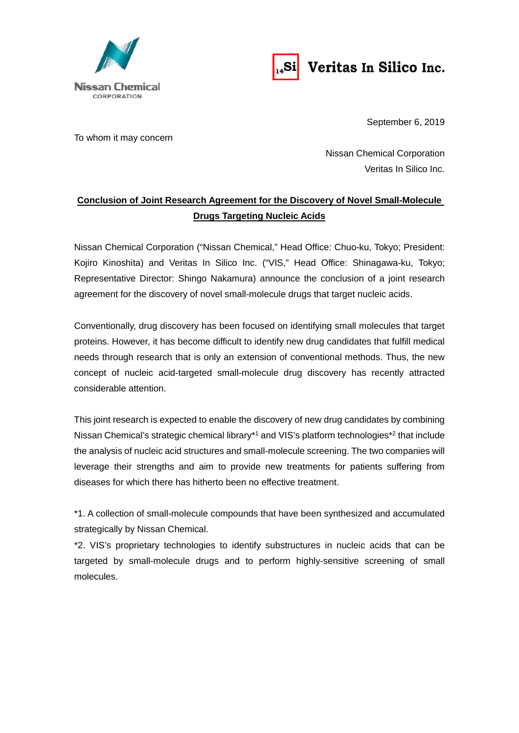



September 6, 2019

To whom it may concern

Nissan Chemical Corporation Veritas In Silico Inc.

## **Conclusion of Joint Research Agreement for the Discovery of Novel Small-Molecule Drugs Targeting Nucleic Acids**

Nissan Chemical Corporation ("Nissan Chemical," Head Office: Chuo-ku, Tokyo; President: Kojiro Kinoshita) and Veritas In Silico Inc. ("VIS," Head Office: Shinagawa-ku, Tokyo; Representative Director: Shingo Nakamura) announce the conclusion of a joint research agreement for the discovery of novel small-molecule drugs that target nucleic acids.

Conventionally, drug discovery has been focused on identifying small molecules that target proteins. However, it has become difficult to identify new drug candidates that fulfill medical needs through research that is only an extension of conventional methods. Thus, the new concept of nucleic acid-targeted small-molecule drug discovery has recently attracted considerable attention.

This joint research is expected to enable the discovery of new drug candidates by combining Nissan Chemical's strategic chemical library<sup>\*1</sup> and VIS's platform technologies<sup>\*2</sup> that include the analysis of nucleic acid structures and small-molecule screening. The two companies will leverage their strengths and aim to provide new treatments for patients suffering from diseases for which there has hitherto been no effective treatment.

\*1. A collection of small-molecule compounds that have been synthesized and accumulated strategically by Nissan Chemical.

\*2. VIS's proprietary technologies to identify substructures in nucleic acids that can be targeted by small-molecule drugs and to perform highly-sensitive screening of small molecules.